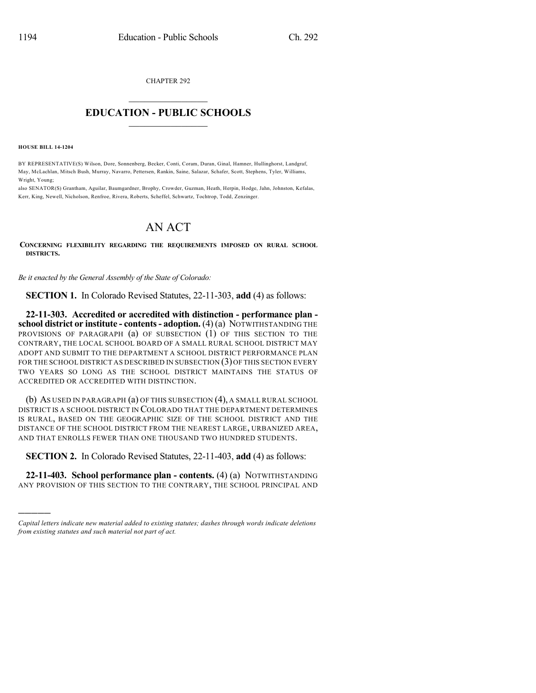CHAPTER 292

## $\mathcal{L}_\text{max}$  . The set of the set of the set of the set of the set of the set of the set of the set of the set of the set of the set of the set of the set of the set of the set of the set of the set of the set of the set **EDUCATION - PUBLIC SCHOOLS**  $\_$   $\_$   $\_$   $\_$   $\_$   $\_$   $\_$   $\_$   $\_$

**HOUSE BILL 14-1204**

)))))

BY REPRESENTATIVE(S) Wilson, Dore, Sonnenberg, Becker, Conti, Coram, Duran, Ginal, Hamner, Hullinghorst, Landgraf, May, McLachlan, Mitsch Bush, Murray, Navarro, Pettersen, Rankin, Saine, Salazar, Schafer, Scott, Stephens, Tyler, Williams, Wright, Young;

also SENATOR(S) Grantham, Aguilar, Baumgardner, Brophy, Crowder, Guzman, Heath, Herpin, Hodge, Jahn, Johnston, Kefalas, Kerr, King, Newell, Nicholson, Renfroe, Rivera, Roberts, Scheffel, Schwartz, Tochtrop, Todd, Zenzinger.

## AN ACT

**CONCERNING FLEXIBILITY REGARDING THE REQUIREMENTS IMPOSED ON RURAL SCHOOL DISTRICTS.**

*Be it enacted by the General Assembly of the State of Colorado:*

**SECTION 1.** In Colorado Revised Statutes, 22-11-303, **add** (4) as follows:

**22-11-303. Accredited or accredited with distinction - performance plan school district or institute - contents- adoption.** (4) (a) NOTWITHSTANDING THE PROVISIONS OF PARAGRAPH (a) OF SUBSECTION (1) OF THIS SECTION TO THE CONTRARY, THE LOCAL SCHOOL BOARD OF A SMALL RURAL SCHOOL DISTRICT MAY ADOPT AND SUBMIT TO THE DEPARTMENT A SCHOOL DISTRICT PERFORMANCE PLAN FOR THE SCHOOL DISTRICT AS DESCRIBED IN SUBSECTION (3) OF THIS SECTION EVERY TWO YEARS SO LONG AS THE SCHOOL DISTRICT MAINTAINS THE STATUS OF ACCREDITED OR ACCREDITED WITH DISTINCTION.

(b) AS USED IN PARAGRAPH (a) OF THIS SUBSECTION (4), A SMALL RURAL SCHOOL DISTRICT IS A SCHOOL DISTRICT IN COLORADO THAT THE DEPARTMENT DETERMINES IS RURAL, BASED ON THE GEOGRAPHIC SIZE OF THE SCHOOL DISTRICT AND THE DISTANCE OF THE SCHOOL DISTRICT FROM THE NEAREST LARGE, URBANIZED AREA, AND THAT ENROLLS FEWER THAN ONE THOUSAND TWO HUNDRED STUDENTS.

**SECTION 2.** In Colorado Revised Statutes, 22-11-403, **add** (4) as follows:

**22-11-403. School performance plan - contents.** (4) (a) NOTWITHSTANDING ANY PROVISION OF THIS SECTION TO THE CONTRARY, THE SCHOOL PRINCIPAL AND

*Capital letters indicate new material added to existing statutes; dashes through words indicate deletions from existing statutes and such material not part of act.*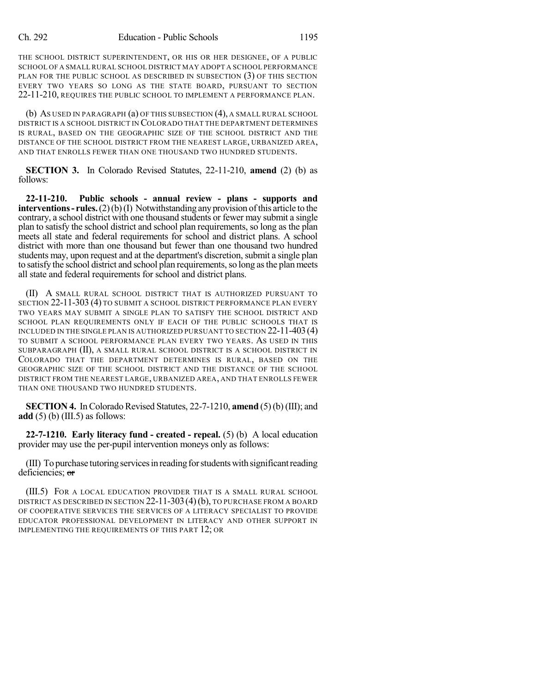THE SCHOOL DISTRICT SUPERINTENDENT, OR HIS OR HER DESIGNEE, OF A PUBLIC SCHOOL OF A SMALL RURAL SCHOOL DISTRICT MAY ADOPT A SCHOOL PERFORMANCE PLAN FOR THE PUBLIC SCHOOL AS DESCRIBED IN SUBSECTION (3) OF THIS SECTION EVERY TWO YEARS SO LONG AS THE STATE BOARD, PURSUANT TO SECTION 22-11-210, REQUIRES THE PUBLIC SCHOOL TO IMPLEMENT A PERFORMANCE PLAN.

(b) AS USED IN PARAGRAPH (a) OF THIS SUBSECTION (4), A SMALL RURAL SCHOOL DISTRICT IS A SCHOOL DISTRICT IN COLORADO THAT THE DEPARTMENT DETERMINES IS RURAL, BASED ON THE GEOGRAPHIC SIZE OF THE SCHOOL DISTRICT AND THE DISTANCE OF THE SCHOOL DISTRICT FROM THE NEAREST LARGE, URBANIZED AREA, AND THAT ENROLLS FEWER THAN ONE THOUSAND TWO HUNDRED STUDENTS.

**SECTION 3.** In Colorado Revised Statutes, 22-11-210, **amend** (2) (b) as follows:

**22-11-210. Public schools - annual review - plans - supports and interventions** - **rules.** (2)(b)(I) Notwithstanding any provision of this article to the contrary, a school district with one thousand students or fewer may submit a single plan to satisfy the school district and school plan requirements, so long as the plan meets all state and federal requirements for school and district plans. A school district with more than one thousand but fewer than one thousand two hundred students may, upon request and at the department's discretion, submit a single plan to satisfy the school district and school plan requirements, so long as the plan meets all state and federal requirements for school and district plans.

(II) A SMALL RURAL SCHOOL DISTRICT THAT IS AUTHORIZED PURSUANT TO SECTION 22-11-303 (4) TO SUBMIT A SCHOOL DISTRICT PERFORMANCE PLAN EVERY TWO YEARS MAY SUBMIT A SINGLE PLAN TO SATISFY THE SCHOOL DISTRICT AND SCHOOL PLAN REQUIREMENTS ONLY IF EACH OF THE PUBLIC SCHOOLS THAT IS INCLUDED IN THE SINGLE PLAN IS AUTHORIZED PURSUANT TO SECTION 22-11-403(4) TO SUBMIT A SCHOOL PERFORMANCE PLAN EVERY TWO YEARS. AS USED IN THIS SUBPARAGRAPH (II), A SMALL RURAL SCHOOL DISTRICT IS A SCHOOL DISTRICT IN COLORADO THAT THE DEPARTMENT DETERMINES IS RURAL, BASED ON THE GEOGRAPHIC SIZE OF THE SCHOOL DISTRICT AND THE DISTANCE OF THE SCHOOL DISTRICT FROM THE NEAREST LARGE, URBANIZED AREA, AND THAT ENROLLS FEWER THAN ONE THOUSAND TWO HUNDRED STUDENTS.

**SECTION 4.** In Colorado Revised Statutes,  $22-7-1210$ , **amend** (5)(b) (III); and **add** (5) (b) (III.5) as follows:

**22-7-1210. Early literacy fund - created - repeal.** (5) (b) A local education provider may use the per-pupil intervention moneys only as follows:

(III) To purchase tutoring servicesin readingforstudentswith significantreading deficiencies; or

(III.5) FOR A LOCAL EDUCATION PROVIDER THAT IS A SMALL RURAL SCHOOL DISTRICT AS DESCRIBED IN SECTION 22-11-303 (4) (b), TO PURCHASE FROM A BOARD OF COOPERATIVE SERVICES THE SERVICES OF A LITERACY SPECIALIST TO PROVIDE EDUCATOR PROFESSIONAL DEVELOPMENT IN LITERACY AND OTHER SUPPORT IN IMPLEMENTING THE REQUIREMENTS OF THIS PART 12; OR